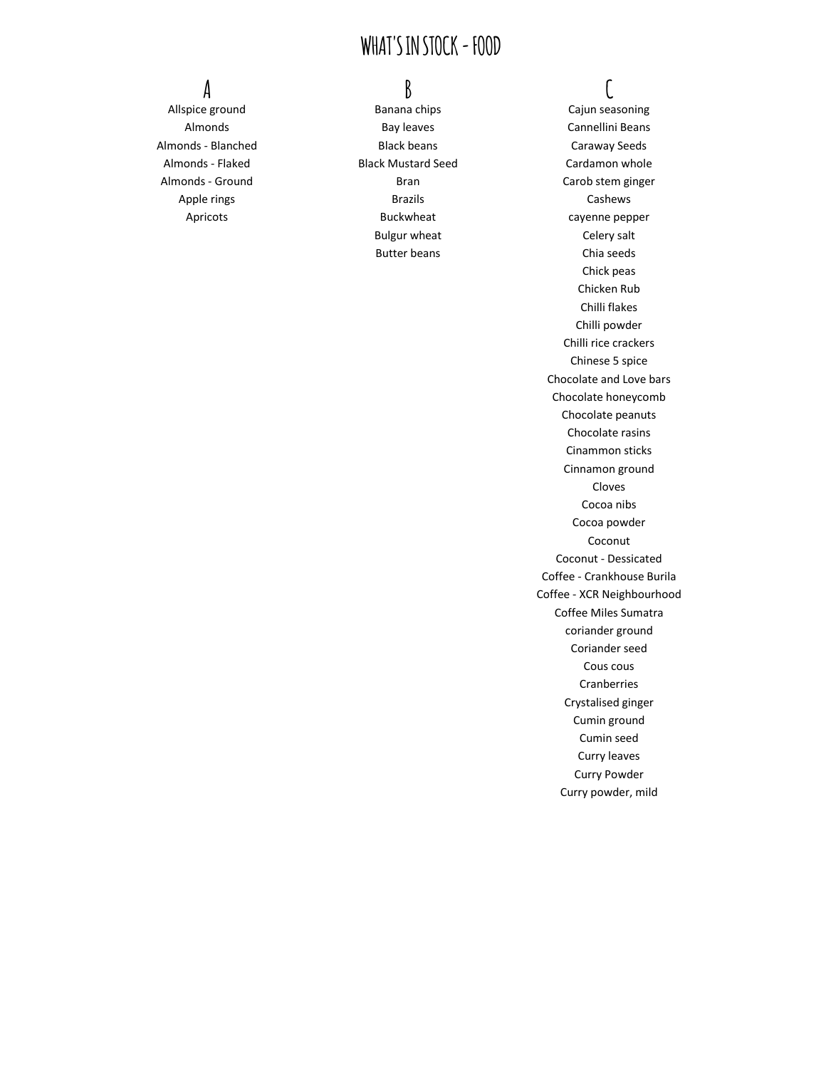Almonds - Blanched **Black beans** Black beans Caraway Seeds

Allspice ground and Banana chips Cajun seasoning Cajun seasoning Almonds Bay leaves Bay Leaves Cannellini Beans Almonds - Flaked **Black Mustard Seed** Cardamon whole Apple rings **Brazils** Brazils **Cashews** Apricots **Buckwheat** Buckwheat **cayenne** pepper Bulgur wheat Celery salt

# **A B C**

Almonds - Ground **Almonds** - Ground **Bran** Bran Carob stem ginger Butter beans **Chia** seeds Chick peas Chicken Rub Chilli flakes Chilli powder Chilli rice crackers Chinese 5 spice Chocolate and Love bars Chocolate honeycomb Chocolate peanuts Chocolate rasins Cinammon sticks Cinnamon ground Cloves Cocoa nibs Cocoa powder Coconut Coconut - Dessicated Coffee - Crankhouse Burila Coffee - XCR Neighbourhood Coffee Miles Sumatra coriander ground Coriander seed Cous cous Cranberries Crystalised ginger Cumin ground Cumin seed Curry leaves Curry Powder Curry powder, mild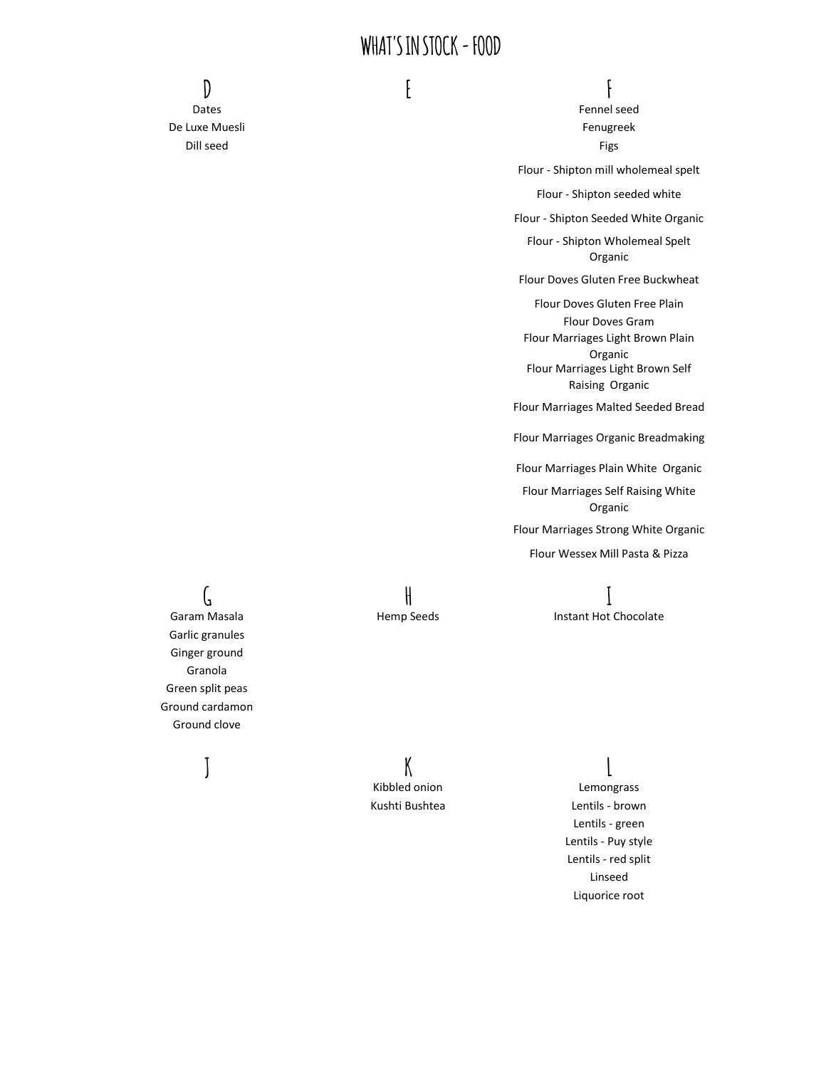**D E F**

Dates **Fennel** seed De Luxe Muesli **Europe Europe Europe Europe Europe Europe Europe Europe Europe Europe Europe Europe Europe Europe Europe Europe Europe Europe Europe Europe Europe Europe Europe Europe Europe Europe Europe Europe Europe Eur** Dill seed Figs

Flour - Shipton mill wholemeal spelt

Flour - Shipton seeded white

Flour - Shipton Seeded White Organic

Flour - Shipton Wholemeal Spelt Organic

Flour Doves Gluten Free Buckwheat

Flour Doves Gluten Free Plain Flour Doves Gram

Flour Marriages Light Brown Plain Organic Flour Marriages Light Brown Self Raising Organic

Flour Marriages Malted Seeded Bread

Flour Marriages Organic Breadmaking

Flour Marriages Plain White Organic

Flour Marriages Self Raising White Organic

Flour Marriages Strong White Organic

Flour Wessex Mill Pasta & Pizza

Garam Masala **Instant Hot Chocolate** Hemp Seeds **Instant Hot Chocolate** 

Garlic granules Ginger ground Granola Green split peas Ground cardamon Ground clove

**G H I**

**J K L** Kibbled onion **Lemongrass** 

Kushti Bushtea Lentils - brown Lentils - green Lentils - Puy style Lentils - red split Linseed Liquorice root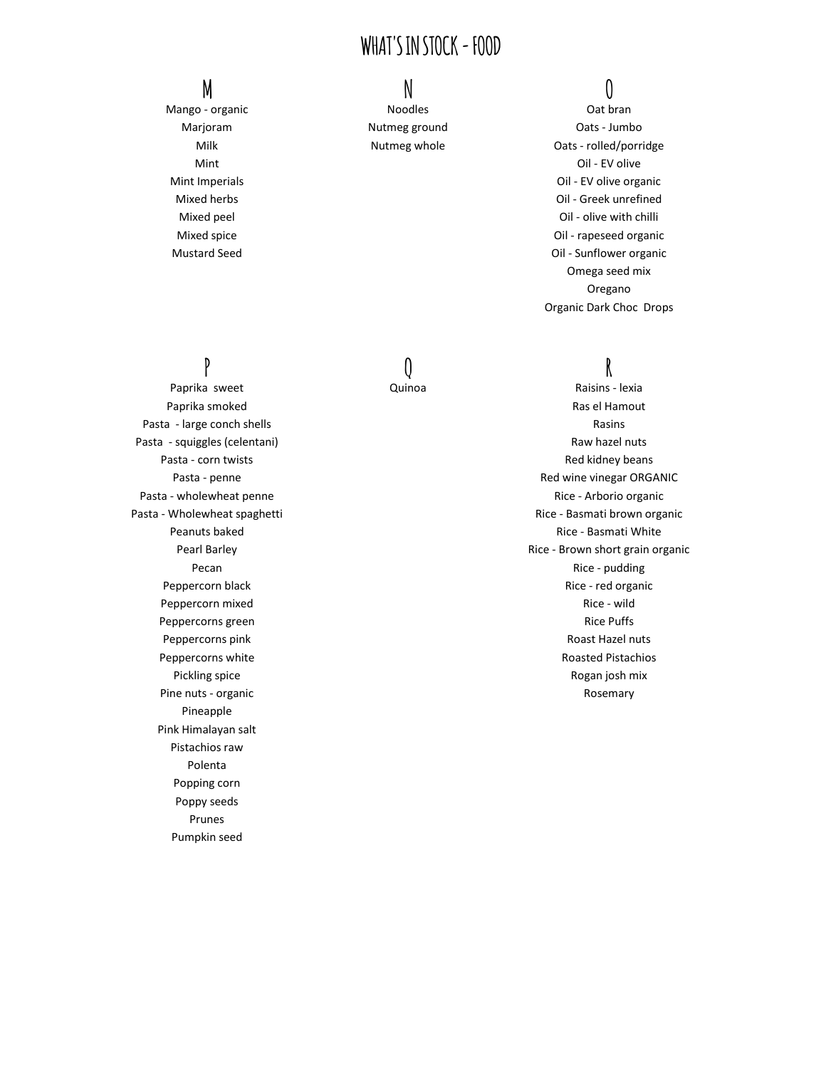Mango - organic and a metal of the Noodles and Oat branch Oat branch Oat branch Oat branch Oat branch Oat branch Oat branch Oat branch Oat branch Oat branch Oat branch Oat branch Oat branch Oat branch Oat branch Oat branch

Paprika smoked **Rassault Europe and Taylor Science and Taylor Science Assets Assets And Taylor Science Assets A** Pasta - large conch shells **Rasins** Rasins Rasins Pasta - squiggles (celentani) Raw hazel nuts Pasta - wholewheat penne **Richards** Channel Rice - Arborio organic Peppercorn mixed **Rice - wild** Rice - wild Peppercorns green **Rice Puffs Pullet Controller Controller Controller Controller Rice Puffs** Pine nuts - organic November 2012 and 2012 and 2013 and 2012 and 2013 and 2013 and 2013 and 2013 and 2013 and 2013 and 2013 and 2013 and 2013 and 2013 and 2013 and 2013 and 2013 and 2013 and 2013 and 2013 and 2013 and 2013 Pineapple Pink Himalayan salt Pistachios raw Polenta Popping corn Poppy seeds Prunes Pumpkin seed

# **M N O**

Marjoram Mutmeg ground Marjoram Oats - Jumbo Milk Milk Nutmeg whole Cats - rolled/porridge Mint Oil - EV olive Mint Imperials Oil - EV olive organic Mixed herbs Oil - Greek unrefined Mixed peel **Oil** - olive with chilli Mixed spice **Oil** - rapeseed organic Mustard Seed Oil - Sunflower organic Omega seed mix Oregano Organic Dark Choc Drops

# **P Q R**

Paprika sweet Quinoa Raisins - lexia Pasta - corn twists **Red kidney beans** Red kidney beans Pasta - penne **Red wine vinegar ORGANIC Pasta - penne Red wine vinegar ORGANIC** Pasta - Wholewheat spaghetti **Rice - Basmati brown organic** Pasta - Wholewheat spaghetti Peanuts baked **Rice - Basmati White** Peanuts baked **Rice - Basmati White**  $R$ Pearl Barley **Rice - Brown short grain organic** early research and the Rice - Brown short grain organic Pecan Rice - pudding Peppercorn black and the contract of the Peppercorn black and the Rice - red organic Peppercorns pink **Roast Hazel nuts** Roast Hazel nuts Peppercorns white **Roasted Pistachios Roasted Pistachios Roasted Pistachios** Pickling spice **Rogan josh mix** and the Rogan josh mix and the Rogan josh mix